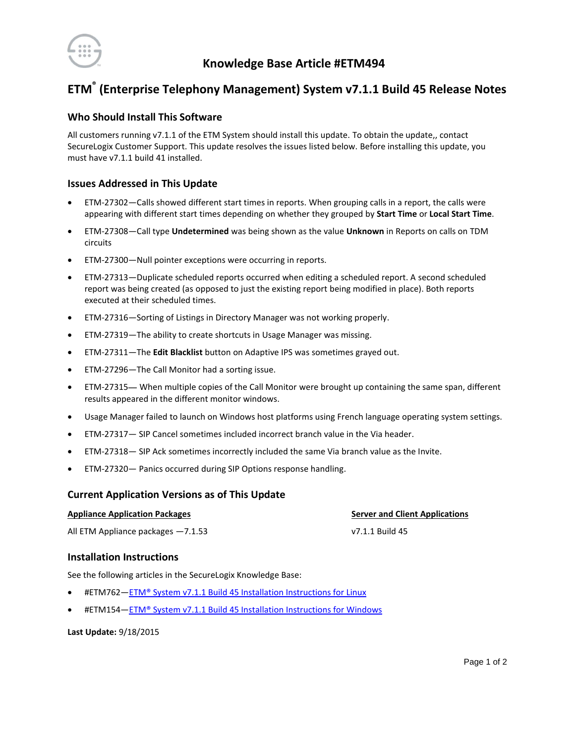

# **ETM® (Enterprise Telephony Management) System v7.1.1 Build 45 Release Notes**

## **Who Should Install This Software**

All customers running v7.1.1 of the ETM System should install this update. To obtain the update,, contact SecureLogix Customer Support. This update resolves the issues listed below. Before installing this update, you must have v7.1.1 build 41 installed.

## **Issues Addressed in This Update**

- ETM-27302—Calls showed different start times in reports. When grouping calls in a report, the calls were appearing with different start times depending on whether they grouped by **Start Time** or **Local Start Time**.
- ETM-27308—Call type **Undetermined** was being shown as the value **Unknown** in Reports on calls on TDM circuits
- ETM-27300—Null pointer exceptions were occurring in reports.
- ETM-27313—Duplicate scheduled reports occurred when editing a scheduled report. A second scheduled report was being created (as opposed to just the existing report being modified in place). Both reports executed at their scheduled times.
- ETM-27316—Sorting of Listings in Directory Manager was not working properly.
- ETM-27319—The ability to create shortcuts in Usage Manager was missing.
- ETM-27311—The **Edit Blacklist** button on Adaptive IPS was sometimes grayed out.
- ETM-27296—The Call Monitor had a sorting issue.
- ETM-27315— When multiple copies of the Call Monitor were brought up containing the same span, different results appeared in the different monitor windows.
- Usage Manager failed to launch on Windows host platforms using French language operating system settings.
- ETM-27317— SIP Cancel sometimes included incorrect branch value in the Via header.
- ETM-27318— SIP Ack sometimes incorrectly included the same Via branch value as the Invite.
- ETM-27320— Panics occurred during SIP Options response handling.

### **Current Application Versions as of This Update**

#### **Appliance Application Packages Server and Client Applications**

All ETM Appliance packages -7.1.53 v7.1.1 Build 45

## **Installation Instructions**

See the following articles in the SecureLogix Knowledge Base:

- #ETM762—[ETM® System v7.1.1 Build 45 Installation Instructions for Linux](https://support.securelogix.com/article.htm?articleid=ETM154)
- #ETM154—[ETM® System v7.1.1 Build 45 Installation Instructions for Windows](https://support.securelogix.com/article.htm?articleid=ETM762)

#### **Last Update:** 9/18/2015